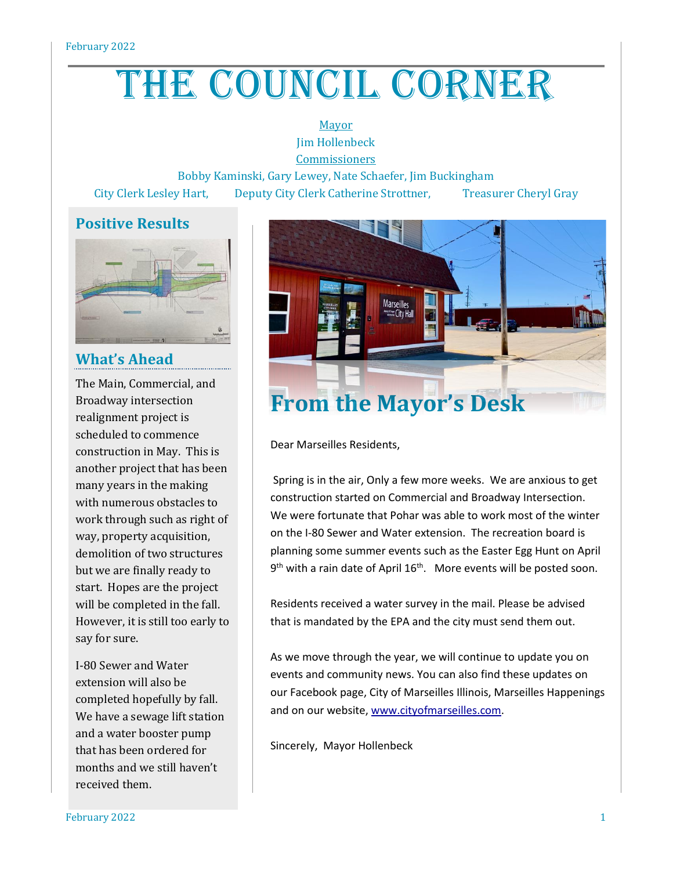# THE COUNCIL CORNER

Mayor Jim Hollenbeck **Commissioners** 

Bobby Kaminski, Gary Lewey, Nate Schaefer, Jim Buckingham City Clerk Lesley Hart, Deputy City Clerk Catherine Strottner, Treasurer Cheryl Gray

# **Positive Results**



## **What's Ahead**

The Main, Commercial, and Broadway intersection realignment project is scheduled to commence construction in May. This is another project that has been many years in the making with numerous obstacles to work through such as right of way, property acquisition, demolition of two structures but we are finally ready to start. Hopes are the project will be completed in the fall. However, it is still too early to say for sure.

I-80 Sewer and Water extension will also be completed hopefully by fall. We have a sewage lift station and a water booster pump that has been ordered for months and we still haven't received them.



# **From the Mayor's Desk**

Dear Marseilles Residents,

Spring is in the air, Only a few more weeks. We are anxious to get construction started on Commercial and Broadway Intersection. We were fortunate that Pohar was able to work most of the winter on the I-80 Sewer and Water extension. The recreation board is planning some summer events such as the Easter Egg Hunt on April 9<sup>th</sup> with a rain date of April 16<sup>th</sup>. More events will be posted soon.

Residents received a water survey in the mail. Please be advised that is mandated by the EPA and the city must send them out.

As we move through the year, we will continue to update you on events and community news. You can also find these updates on our Facebook page, City of Marseilles Illinois, Marseilles Happenings and on our website, [www.cityofmarseilles.com.](http://www.cityofmarseilles.com/)

Sincerely, Mayor Hollenbeck